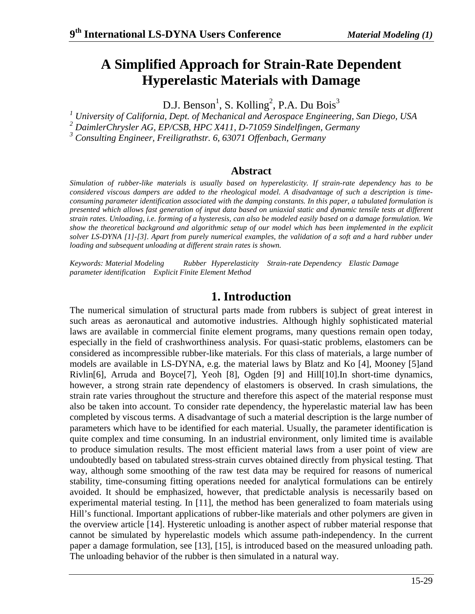# **A Simplified Approach for Strain-Rate Dependent Hyperelastic Materials with Damage**

D.J. Benson<sup>1</sup>, S. Kolling<sup>2</sup>, P.A. Du Bois<sup>3</sup>

<sup>1</sup> University of California, Dept. of Mechanical and Aerospace Engineering, San Diego, USA *2 DaimlerChrysler AG, EP/CSB, HPC X411, D-71059 Sindelfingen, Germany* 

*3 Consulting Engineer, Freiligrathstr. 6, 63071 Offenbach, Germany* 

### **Abstract**

*Simulation of rubber-like materials is usually based on hyperelasticity. If strain-rate dependency has to be considered viscous dampers are added to the rheological model. A disadvantage of such a description is timeconsuming parameter identification associated with the damping constants. In this paper, a tabulated formulation is presented which allows fast generation of input data based on uniaxial static and dynamic tensile tests at different strain rates. Unloading, i.e. forming of a hysteresis, can also be modeled easily based on a damage formulation. We show the theoretical background and algorithmic setup of our model which has been implemented in the explicit*  solver LS-DYNA [1]-[3]. Apart from purely numerical examples, the validation of a soft and a hard rubber under *loading and subsequent unloading at different strain rates is shown.* 

*Keywords: Material Modeling Rubber Hyperelasticity Strain-rate Dependency Elastic Damage parameter identification Explicit Finite Element Method* 

## **1. Introduction**

The numerical simulation of structural parts made from rubbers is subject of great interest in such areas as aeronautical and automotive industries. Although highly sophisticated material laws are available in commercial finite element programs, many questions remain open today, especially in the field of crashworthiness analysis. For quasi-static problems, elastomers can be considered as incompressible rubber-like materials. For this class of materials, a large number of models are available in LS-DYNA, e.g. the material laws by Blatz and Ko [4], Mooney [5]and Rivlin[6], Arruda and Boyce[7], Yeoh [8], Ogden [9] and Hill[10].In short-time dynamics, however, a strong strain rate dependency of elastomers is observed. In crash simulations, the strain rate varies throughout the structure and therefore this aspect of the material response must also be taken into account. To consider rate dependency, the hyperelastic material law has been completed by viscous terms. A disadvantage of such a material description is the large number of parameters which have to be identified for each material. Usually, the parameter identification is quite complex and time consuming. In an industrial environment, only limited time is available to produce simulation results. The most efficient material laws from a user point of view are undoubtedly based on tabulated stress-strain curves obtained directly from physical testing. That way, although some smoothing of the raw test data may be required for reasons of numerical stability, time-consuming fitting operations needed for analytical formulations can be entirely avoided. It should be emphasized, however, that predictable analysis is necessarily based on experimental material testing. In [11], the method has been generalized to foam materials using Hill's functional. Important applications of rubber-like materials and other polymers are given in the overview article [14]. Hysteretic unloading is another aspect of rubber material response that cannot be simulated by hyperelastic models which assume path-independency. In the current paper a damage formulation, see [13], [15], is introduced based on the measured unloading path. The unloading behavior of the rubber is then simulated in a natural way.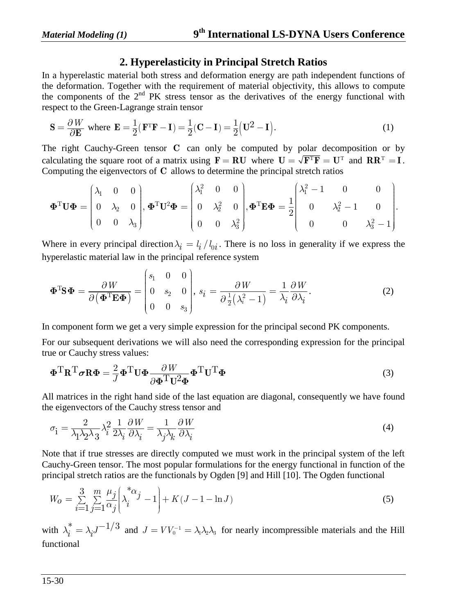## **2. Hyperelasticity in Principal Stretch Ratios**

In a hyperelastic material both stress and deformation energy are path independent functions of the deformation. Together with the requirement of material objectivity, this allows to compute the components of the 2nd PK stress tensor as the derivatives of the energy functional with respect to the Green-Lagrange strain tensor

$$
\mathbf{S} = \frac{\partial W}{\partial \mathbf{E}} \text{ where } \mathbf{E} = \frac{1}{2} (\mathbf{F}^{\mathrm{T}} \mathbf{F} - \mathbf{I}) = \frac{1}{2} (\mathbf{C} - \mathbf{I}) = \frac{1}{2} (\mathbf{U}^2 - \mathbf{I}). \tag{1}
$$

The right Cauchy-Green tensor **C** can only be computed by polar decomposition or by calculating the square root of a matrix using  $\mathbf{F} = \mathbf{R}\mathbf{U}$  where  $\mathbf{U} = \sqrt{\mathbf{F}^T\mathbf{F}} = \mathbf{U}^T$  and  $\mathbf{R}\mathbf{R}^T = \mathbf{I}$ . Computing the eigenvectors of **C** allows to determine the principal stretch ratios

$$
\mathbf{\Phi}^{\mathrm{T}}\mathbf{U}\mathbf{\Phi} = \begin{pmatrix} \lambda_1 & 0 & 0 \\ 0 & \lambda_2 & 0 \\ 0 & 0 & \lambda_3 \end{pmatrix}, \mathbf{\Phi}^{\mathrm{T}}\mathbf{U}^2\mathbf{\Phi} = \begin{pmatrix} \lambda_1^2 & 0 & 0 \\ 0 & \lambda_2^2 & 0 \\ 0 & 0 & \lambda_3^2 \end{pmatrix}, \mathbf{\Phi}^{\mathrm{T}}\mathbf{E}\mathbf{\Phi} = \frac{1}{2} \begin{pmatrix} \lambda_1^2 - 1 & 0 & 0 \\ 0 & \lambda_2^2 - 1 & 0 \\ 0 & 0 & \lambda_3^2 - 1 \end{pmatrix}.
$$

Where in every principal direction  $\lambda_i = l_i / l_{0i}$ . There is no loss in generality if we express the hyperelastic material law in the principal reference system

$$
\mathbf{\Phi}^{\mathrm{T}}\mathbf{S}\mathbf{\Phi} = \frac{\partial W}{\partial (\mathbf{\Phi}^{\mathrm{T}}\mathbf{E}\mathbf{\Phi})} = \begin{pmatrix} s_1 & 0 & 0 \\ 0 & s_2 & 0 \\ 0 & 0 & s_3 \end{pmatrix}, \ s_i = \frac{\partial W}{\partial \frac{1}{2}(\lambda_i^2 - 1)} = \frac{1}{\lambda_i} \frac{\partial W}{\partial \lambda_i}.
$$
 (2)

In component form we get a very simple expression for the principal second PK components.

For our subsequent derivations we will also need the corresponding expression for the principal true or Cauchy stress values:

$$
\mathbf{\Phi}^{\mathrm{T}} \mathbf{R}^{\mathrm{T}} \boldsymbol{\sigma} \mathbf{R} \mathbf{\Phi} = \frac{2}{J} \mathbf{\Phi}^{\mathrm{T}} \mathbf{U} \mathbf{\Phi} \frac{\partial W}{\partial \mathbf{\Phi}^{\mathrm{T}} \mathbf{U}^2 \mathbf{\Phi}} \mathbf{\Phi}^{\mathrm{T}} \mathbf{U}^{\mathrm{T}} \mathbf{\Phi}
$$
(3)

All matrices in the right hand side of the last equation are diagonal, consequently we have found the eigenvectors of the Cauchy stress tensor and

$$
\sigma_{\mathbf{i}} = \frac{2}{\lambda_1 \lambda_2 \lambda_3} \lambda_i^2 \frac{1}{2\lambda_i} \frac{\partial W}{\partial \lambda_i} = \frac{1}{\lambda_j \lambda_k} \frac{\partial W}{\partial \lambda_i}
$$
(4)

Note that if true stresses are directly computed we must work in the principal system of the left Cauchy-Green tensor. The most popular formulations for the energy functional in function of the principal stretch ratios are the functionals by Ogden [9] and Hill [10]. The Ogden functional

$$
W_0 = \sum_{i=1}^{3} \sum_{j=1}^{m} \frac{\mu_j}{\alpha_j} \left( \lambda_i^{* \alpha_j} - 1 \right) + K(J - 1 - \ln J)
$$
 (5)

with  $\lambda_i^* = \lambda_i J^{-1/3}$  and  $J = V V_0^{-1} = \lambda_1 \lambda_2 \lambda_3$  for nearly incompressible materials and the Hill functional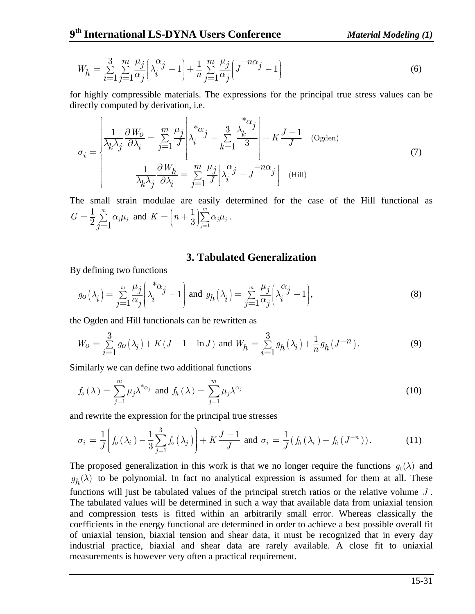$$
W_h = \sum_{i=1}^{3} \sum_{j=1}^{m} \frac{\mu_j}{\alpha_j} \left( \lambda_i^{\alpha_j} - 1 \right) + \frac{1}{n} \sum_{j=1}^{m} \frac{\mu_j}{\alpha_j} \left( J^{-n\alpha_j} - 1 \right)
$$
(6)

for highly compressible materials. The expressions for the principal true stress values can be directly computed by derivation, i.e.

$$
\sigma_{i} = \begin{bmatrix} \frac{1}{\lambda_{k}\lambda_{j}} \frac{\partial W_{0}}{\partial \lambda_{i}} = \sum_{j=1}^{m} \frac{\mu_{j}}{J} \left| \lambda_{i}^{* \alpha_{j}} - \sum_{k=1}^{3} \frac{\lambda_{k}^{* \alpha_{j}}}{3} \right| + K \frac{J-1}{J} \quad \text{(Ogden)}\\ \frac{1}{\lambda_{k}\lambda_{j}} \frac{\partial W_{h}}{\partial \lambda_{i}} = \sum_{j=1}^{m} \frac{\mu_{j}}{J} \left| \lambda_{i}^{\alpha_{j}} - J^{-n\alpha_{j}} \right| \quad \text{(Hill)} \end{bmatrix}
$$
(7)

The small strain modulae are easily determined for the case of the Hill functional as 1  $\overline{2} \sum_{j=1}^{\infty}$  $G = \frac{1}{2} \sum_{j=1}^{m} \alpha_j \mu_j$  and  $K = \left(n + \frac{1}{3}\right) \sum_{j=1}^{m}$ 1 3 *m*  $j\mu_j$ *j*  $K = |n + \frac{1}{2}| \sum \alpha_i \mu$  $=\left(n+\frac{1}{3}\right)_{j=1}^m\alpha_j\mu_j\ .$ 

#### **3. Tabulated Generalization**

By defining two functions

$$
g_O(\lambda_i) = \sum_{j=1}^m \frac{\mu_j}{\alpha_j} \left( \lambda_i^{* \alpha_j} - 1 \right) \text{ and } g_h(\lambda_i) = \sum_{j=1}^m \frac{\mu_j}{\alpha_j} \left( \lambda_i^{* \alpha_j} - 1 \right),\tag{8}
$$

the Ogden and Hill functionals can be rewritten as

$$
W_0 = \sum_{i=1}^3 g_0(\lambda_i) + K(J-1-\ln J) \text{ and } W_h = \sum_{i=1}^3 g_h(\lambda_i) + \frac{1}{n} g_h(J^{-n}). \tag{9}
$$

Similarly we can define two additional functions

$$
f_o(\lambda) = \sum_{j=1}^{m} \mu_j \lambda^{*_{\alpha_j}} \text{ and } f_h(\lambda) = \sum_{j=1}^{m} \mu_j \lambda^{\alpha_j}
$$
 (10)

and rewrite the expression for the principal true stresses

$$
\sigma_i = \frac{1}{J} \left( f_o \left( \lambda_i \right) - \frac{1}{3} \sum_{j=1}^3 f_o \left( \lambda_j \right) \right) + K \frac{J-1}{J} \text{ and } \sigma_i = \frac{1}{J} \left( f_h \left( \lambda_i \right) - f_h \left( J^{-n} \right) \right). \tag{11}
$$

The proposed generalization in this work is that we no longer require the functions  $g_0(\lambda)$  and  $g_h(\lambda)$  to be polynomial. In fact no analytical expression is assumed for them at all. These functions will just be tabulated values of the principal stretch ratios or the relative volume *J* . The tabulated values will be determined in such a way that available data from uniaxial tension and compression tests is fitted within an arbitrarily small error. Whereas classically the coefficients in the energy functional are determined in order to achieve a best possible overall fit of uniaxial tension, biaxial tension and shear data, it must be recognized that in every day industrial practice, biaxial and shear data are rarely available. A close fit to uniaxial measurements is however very often a practical requirement.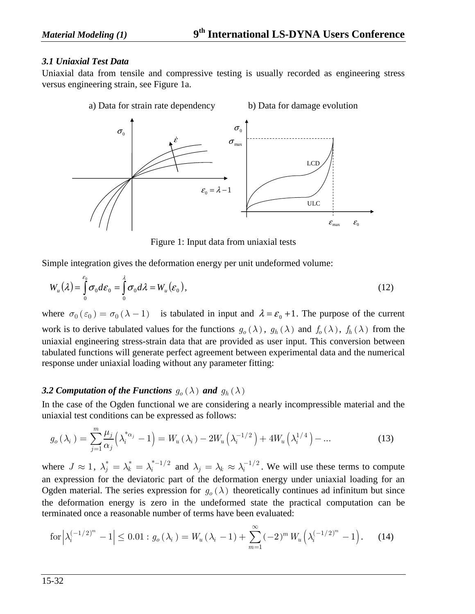#### *3.1 Uniaxial Test Data*

Uniaxial data from tensile and compressive testing is usually recorded as engineering stress versus engineering strain, see Figure 1a.



Figure 1: Input data from uniaxial tests

Simple integration gives the deformation energy per unit undeformed volume:

$$
W_u(\lambda) = \int_0^{\varepsilon_0} \sigma_0 d\varepsilon_0 = \int_0^{\lambda} \sigma_0 d\lambda = W_u(\varepsilon_0), \qquad (12)
$$

where  $\sigma_0(\epsilon_0) = \sigma_0(\lambda - 1)$  is tabulated in input and  $\lambda = \epsilon_0 + 1$ . The purpose of the current work is to derive tabulated values for the functions  $g_o(\lambda)$ ,  $g_h(\lambda)$  and  $f_o(\lambda)$ ,  $f_h(\lambda)$  from the uniaxial engineering stress-strain data that are provided as user input. This conversion between tabulated functions will generate perfect agreement between experimental data and the numerical response under uniaxial loading without any parameter fitting:

#### *3.2 Computation of the Functions*  $g_o(\lambda)$  *and*  $g_h(\lambda)$

In the case of the Ogden functional we are considering a nearly incompressible material and the uniaxial test conditions can be expressed as follows:

$$
g_o(\lambda_i) = \sum_{j=1}^m \frac{\mu_j}{\alpha_j} \left( \lambda_i^{*_{\alpha_j}} - 1 \right) = W_u(\lambda_i) - 2W_u\left( \lambda_i^{-1/2} \right) + 4W_u\left( \lambda_i^{1/4} \right) - \dots
$$
 (13)

where  $J \approx 1$ ,  $\lambda_j^* = \lambda_k^* = \lambda_i^{*-1/2}$  and  $\lambda_j = \lambda_k \approx \lambda_i^{-1/2}$ . We will use these terms to compute an expression for the deviatoric part of the deformation energy under uniaxial loading for an Ogden material. The series expression for  $g<sub>o</sub>(\lambda)$  theoretically continues ad infinitum but since the deformation energy is zero in the undeformed state the practical computation can be terminated once a reasonable number of terms have been evaluated:

$$
\text{for}\left|\lambda_i^{(-1/2)^m} - 1\right| \le 0.01 : g_o(\lambda_i) = W_u(\lambda_i - 1) + \sum_{m=1}^{\infty} (-2)^m W_u\left(\lambda_i^{(-1/2)^m} - 1\right). \tag{14}
$$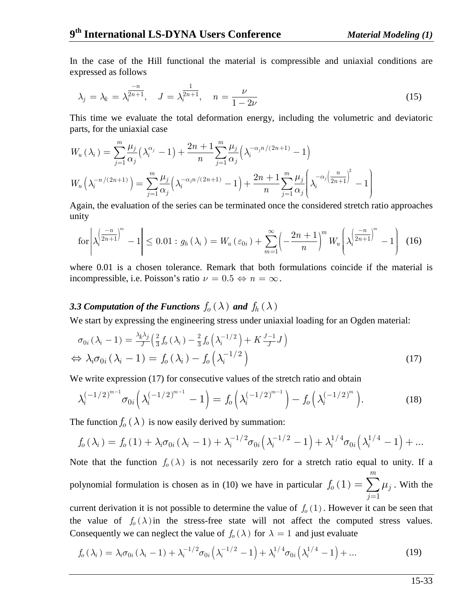In the case of the Hill functional the material is compressible and uniaxial conditions are expressed as follows

$$
\lambda_j = \lambda_k = \lambda_i^{\frac{-n}{2n+1}}, \quad J = \lambda_i^{\frac{1}{2n+1}}, \quad n = \frac{\nu}{1 - 2\nu}
$$
 (15)

This time we evaluate the total deformation energy, including the volumetric and deviatoric parts, for the uniaxial case

$$
W_u(\lambda_i) = \sum_{j=1}^m \frac{\mu_j}{\alpha_j} (\lambda_i^{\alpha_j} - 1) + \frac{2n+1}{n} \sum_{j=1}^m \frac{\mu_j}{\alpha_j} (\lambda_i^{-\alpha_j n/(2n+1)} - 1)
$$
  

$$
W_u(\lambda_i^{-n/(2n+1)}) = \sum_{j=1}^m \frac{\mu_j}{\alpha_j} (\lambda_i^{-\alpha_j n/(2n+1)} - 1) + \frac{2n+1}{n} \sum_{j=1}^m \frac{\mu_j}{\alpha_j} (\lambda_i^{-\alpha_j (\frac{n}{2n+1})^2} - 1)
$$

Again, the evaluation of the series can be terminated once the considered stretch ratio approaches unity

$$
\text{for}\left|\lambda_i^{\left(\frac{-n}{2n+1}\right)^m}-1\right| \leq 0.01: g_h\left(\lambda_i\right) = W_u\left(\varepsilon_{0i}\right) + \sum_{m=1}^{\infty} \left(-\frac{2n+1}{n}\right)^m W_u\left(\lambda_i^{\left(\frac{-n}{2n+1}\right)^m}-1\right) \tag{16}
$$

where 0.01 is a chosen tolerance. Remark that both formulations coincide if the material is incompressible, i.e. Poisson's ratio  $\nu = 0.5 \Leftrightarrow n = \infty$ .

#### *3.3 Computation of the Functions*  $f_o(\lambda)$  *and*  $f_h(\lambda)$

We start by expressing the engineering stress under uniaxial loading for an Ogden material:

$$
\sigma_{0i}(\lambda_i - 1) = \frac{\lambda_k \lambda_j}{J} \left(\frac{2}{3} f_0(\lambda_i) - \frac{2}{3} f_0(\lambda_i^{-1/2}) + K \frac{J-1}{J} J\right)
$$
  
\n
$$
\Leftrightarrow \lambda_i \sigma_{0i}(\lambda_i - 1) = f_0(\lambda_i) - f_0(\lambda_i^{-1/2})
$$
\n(17)

We write expression (17) for consecutive values of the stretch ratio and obtain

$$
\lambda_i^{(-1/2)^{m-1}} \sigma_{0i} \left( \lambda_i^{(-1/2)^{m-1}} - 1 \right) = f_o \left( \lambda_i^{(-1/2)^{m-1}} \right) - f_o \left( \lambda_i^{(-1/2)^m} \right). \tag{18}
$$

The function  $f_0(\lambda)$  is now easily derived by summation:

$$
f_o(\lambda_i) = f_o(1) + \lambda_i \sigma_{0i} (\lambda_i - 1) + \lambda_i^{-1/2} \sigma_{0i} (\lambda_i^{-1/2} - 1) + \lambda_i^{1/4} \sigma_{0i} (\lambda_i^{1/4} - 1) + \dots
$$

Note that the function  $f_0(\lambda)$  is not necessarily zero for a stretch ratio equal to unity. If a polynomial formulation is chosen as in (10) we have in particular  $f_0(1)$ 1 1 *m*  $\nu_{\rho}$  (1) =  $\sum_{j}$   $\mu_{j}$ *j*  $f_o(1) = \sum \mu$ =  $=\sum \mu_j$  . With the

current derivation it is not possible to determine the value of  $f_0(1)$ . However it can be seen that the value of  $f_o(\lambda)$  in the stress-free state will not affect the computed stress values. Consequently we can neglect the value of  $f_o(\lambda)$  for  $\lambda = 1$  and just evaluate

$$
f_o(\lambda_i) = \lambda_i \sigma_{0i} (\lambda_i - 1) + \lambda_i^{-1/2} \sigma_{0i} (\lambda_i^{-1/2} - 1) + \lambda_i^{1/4} \sigma_{0i} (\lambda_i^{1/4} - 1) + \dots
$$
 (19)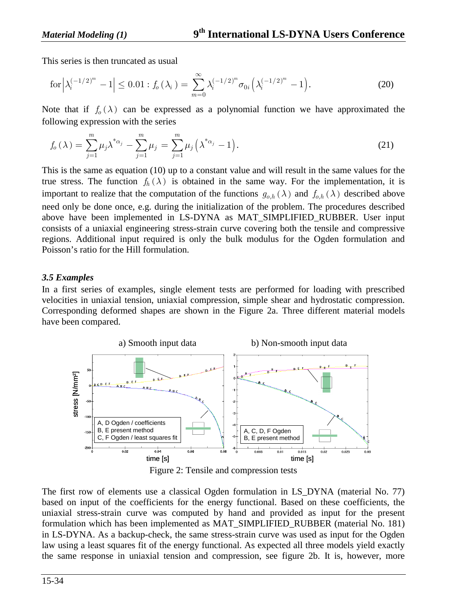This series is then truncated as usual

$$
\text{for}\left|\lambda_i^{(-1/2)^m} - 1\right| \le 0.01 : f_o(\lambda_i) = \sum_{m=0}^{\infty} \lambda_i^{(-1/2)^m} \sigma_{0i} \left(\lambda_i^{(-1/2)^m} - 1\right). \tag{20}
$$

Note that if  $f_0(\lambda)$  can be expressed as a polynomial function we have approximated the following expression with the series

$$
f_o(\lambda) = \sum_{j=1}^{m} \mu_j \lambda^{*_{\alpha_j}} - \sum_{j=1}^{m} \mu_j = \sum_{j=1}^{m} \mu_j (\lambda^{*_{\alpha_j}} - 1).
$$
 (21)

This is the same as equation (10) up to a constant value and will result in the same values for the true stress. The function  $f_h(\lambda)$  is obtained in the same way. For the implementation, it is important to realize that the computation of the functions  $g_{o,h}(\lambda)$  and  $f_{o,h}(\lambda)$  described above need only be done once, e.g. during the initialization of the problem. The procedures described above have been implemented in LS-DYNA as MAT\_SIMPLIFIED\_RUBBER. User input consists of a uniaxial engineering stress-strain curve covering both the tensile and compressive regions. Additional input required is only the bulk modulus for the Ogden formulation and Poisson's ratio for the Hill formulation.

#### *3.5 Examples*

In a first series of examples, single element tests are performed for loading with prescribed velocities in uniaxial tension, uniaxial compression, simple shear and hydrostatic compression. Corresponding deformed shapes are shown in the Figure 2a. Three different material models have been compared.





The first row of elements use a classical Ogden formulation in LS\_DYNA (material No. 77) based on input of the coefficients for the energy functional. Based on these coefficients, the uniaxial stress-strain curve was computed by hand and provided as input for the present formulation which has been implemented as MAT\_SIMPLIFIED\_RUBBER (material No. 181) in LS-DYNA. As a backup-check, the same stress-strain curve was used as input for the Ogden law using a least squares fit of the energy functional. As expected all three models yield exactly the same response in uniaxial tension and compression, see figure 2b. It is, however, more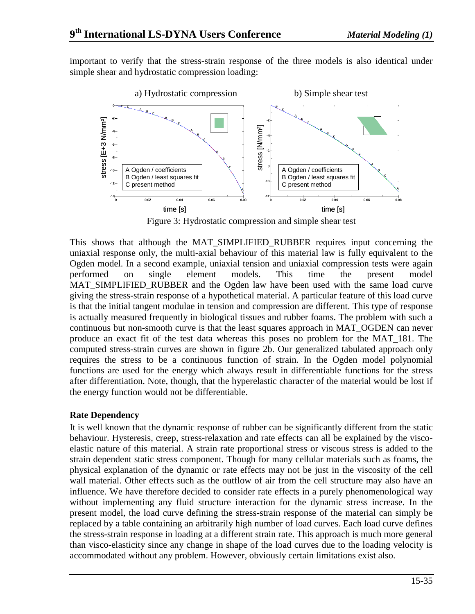important to verify that the stress-strain response of the three models is also identical under simple shear and hydrostatic compression loading:



Figure 3: Hydrostatic compression and simple shear test

This shows that although the MAT\_SIMPLIFIED\_RUBBER requires input concerning the uniaxial response only, the multi-axial behaviour of this material law is fully equivalent to the Ogden model. In a second example, uniaxial tension and uniaxial compression tests were again performed on single element models. This time the present model MAT\_SIMPLIFIED\_RUBBER and the Ogden law have been used with the same load curve giving the stress-strain response of a hypothetical material. A particular feature of this load curve is that the initial tangent modulae in tension and compression are different. This type of response is actually measured frequently in biological tissues and rubber foams. The problem with such a continuous but non-smooth curve is that the least squares approach in MAT\_OGDEN can never produce an exact fit of the test data whereas this poses no problem for the MAT\_181. The computed stress-strain curves are shown in figure 2b. Our generalized tabulated approach only requires the stress to be a continuous function of strain. In the Ogden model polynomial functions are used for the energy which always result in differentiable functions for the stress after differentiation. Note, though, that the hyperelastic character of the material would be lost if the energy function would not be differentiable.

#### **Rate Dependency**

It is well known that the dynamic response of rubber can be significantly different from the static behaviour. Hysteresis, creep, stress-relaxation and rate effects can all be explained by the viscoelastic nature of this material. A strain rate proportional stress or viscous stress is added to the strain dependent static stress component. Though for many cellular materials such as foams, the physical explanation of the dynamic or rate effects may not be just in the viscosity of the cell wall material. Other effects such as the outflow of air from the cell structure may also have an influence. We have therefore decided to consider rate effects in a purely phenomenological way without implementing any fluid structure interaction for the dynamic stress increase. In the present model, the load curve defining the stress-strain response of the material can simply be replaced by a table containing an arbitrarily high number of load curves. Each load curve defines the stress-strain response in loading at a different strain rate. This approach is much more general than visco-elasticity since any change in shape of the load curves due to the loading velocity is accommodated without any problem. However, obviously certain limitations exist also.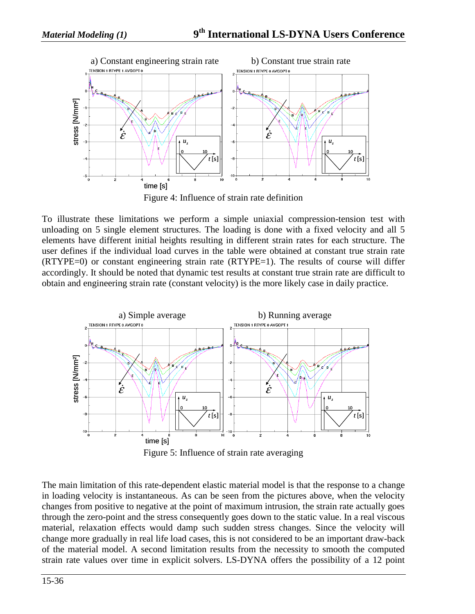

Figure 4: Influence of strain rate definition

To illustrate these limitations we perform a simple uniaxial compression-tension test with unloading on 5 single element structures. The loading is done with a fixed velocity and all 5 elements have different initial heights resulting in different strain rates for each structure. The user defines if the individual load curves in the table were obtained at constant true strain rate (RTYPE=0) or constant engineering strain rate (RTYPE=1). The results of course will differ accordingly. It should be noted that dynamic test results at constant true strain rate are difficult to obtain and engineering strain rate (constant velocity) is the more likely case in daily practice.



Figure 5: Influence of strain rate averaging

The main limitation of this rate-dependent elastic material model is that the response to a change in loading velocity is instantaneous. As can be seen from the pictures above, when the velocity changes from positive to negative at the point of maximum intrusion, the strain rate actually goes through the zero-point and the stress consequently goes down to the static value. In a real viscous material, relaxation effects would damp such sudden stress changes. Since the velocity will change more gradually in real life load cases, this is not considered to be an important draw-back of the material model. A second limitation results from the necessity to smooth the computed strain rate values over time in explicit solvers. LS-DYNA offers the possibility of a 12 point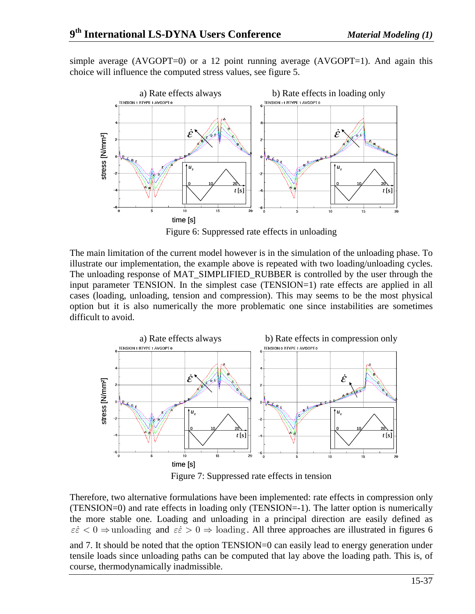simple average  $(AVGOPT=0)$  or a 12 point running average  $(AVGOPT=1)$ . And again this choice will influence the computed stress values, see figure 5.



Figure 6: Suppressed rate effects in unloading

The main limitation of the current model however is in the simulation of the unloading phase. To illustrate our implementation, the example above is repeated with two loading/unloading cycles. The unloading response of MAT\_SIMPLIFIED\_RUBBER is controlled by the user through the input parameter TENSION. In the simplest case (TENSION=1) rate effects are applied in all cases (loading, unloading, tension and compression). This may seems to be the most physical option but it is also numerically the more problematic one since instabilities are sometimes difficult to avoid.



Figure 7: Suppressed rate effects in tension

Therefore, two alternative formulations have been implemented: rate effects in compression only (TENSION=0) and rate effects in loading only (TENSION=-1). The latter option is numerically the more stable one. Loading and unloading in a principal direction are easily defined as  $\varepsilon \in \varepsilon < 0 \Rightarrow$  unloading and  $\varepsilon \in \varepsilon > 0 \Rightarrow$  loading. All three approaches are illustrated in figures 6 and 7. It should be noted that the option TENSION=0 can easily lead to energy generation under tensile loads since unloading paths can be computed that lay above the loading path. This is, of course, thermodynamically inadmissible.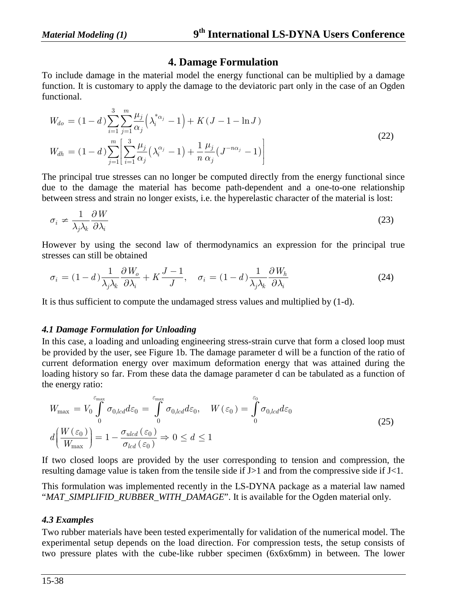## **4. Damage Formulation**

To include damage in the material model the energy functional can be multiplied by a damage function. It is customary to apply the damage to the deviatoric part only in the case of an Ogden functional.

$$
W_{do} = (1 - d) \sum_{i=1}^{3} \sum_{j=1}^{m} \frac{\mu_j}{\alpha_j} \left( \lambda_i^{* \alpha_j} - 1 \right) + K(J - 1 - \ln J)
$$
  
\n
$$
W_{dh} = (1 - d) \sum_{j=1}^{m} \left[ \sum_{i=1}^{3} \frac{\mu_j}{\alpha_j} \left( \lambda_i^{\alpha_j} - 1 \right) + \frac{1}{n} \frac{\mu_j}{\alpha_j} \left( J^{-n\alpha_j} - 1 \right) \right]
$$
\n(22)

The principal true stresses can no longer be computed directly from the energy functional since due to the damage the material has become path-dependent and a one-to-one relationship between stress and strain no longer exists, i.e. the hyperelastic character of the material is lost:

$$
\sigma_i \neq \frac{1}{\lambda_j \lambda_k} \frac{\partial W}{\partial \lambda_i} \tag{23}
$$

However by using the second law of thermodynamics an expression for the principal true stresses can still be obtained

$$
\sigma_i = (1 - d) \frac{1}{\lambda_j \lambda_k} \frac{\partial W_o}{\partial \lambda_i} + K \frac{J - 1}{J}, \quad \sigma_i = (1 - d) \frac{1}{\lambda_j \lambda_k} \frac{\partial W_h}{\partial \lambda_i}
$$
(24)

It is thus sufficient to compute the undamaged stress values and multiplied by (1-d).

#### *4.1 Damage Formulation for Unloading*

In this case, a loading and unloading engineering stress-strain curve that form a closed loop must be provided by the user, see Figure 1b. The damage parameter d will be a function of the ratio of current deformation energy over maximum deformation energy that was attained during the loading history so far. From these data the damage parameter d can be tabulated as a function of the energy ratio:

$$
W_{\text{max}} = V_0 \int_0^{\varepsilon_{\text{max}}} \sigma_{0,led} d\varepsilon_0 = \int_0^{\varepsilon_{\text{max}}} \sigma_{0,led} d\varepsilon_0, \quad W(\varepsilon_0) = \int_0^{\varepsilon_0} \sigma_{0,led} d\varepsilon_0
$$
  

$$
d\left(\frac{W(\varepsilon_0)}{W_{\text{max}}}\right) = 1 - \frac{\sigma_{ulcd}(\varepsilon_0)}{\sigma_{lcd}(\varepsilon_0)} \Rightarrow 0 \le d \le 1
$$
 (25)

If two closed loops are provided by the user corresponding to tension and compression, the resulting damage value is taken from the tensile side if J>1 and from the compressive side if J<1.

This formulation was implemented recently in the LS-DYNA package as a material law named "*MAT\_SIMPLIFID\_RUBBER\_WITH\_DAMAGE*". It is available for the Ogden material only.

#### *4.3 Examples*

Two rubber materials have been tested experimentally for validation of the numerical model. The experimental setup depends on the load direction. For compression tests, the setup consists of two pressure plates with the cube-like rubber specimen (6x6x6mm) in between. The lower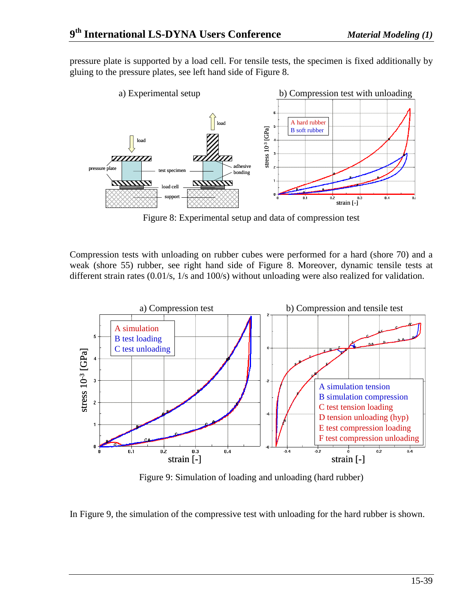pressure plate is supported by a load cell. For tensile tests, the specimen is fixed additionally by gluing to the pressure plates, see left hand side of Figure 8.



Figure 8: Experimental setup and data of compression test

Compression tests with unloading on rubber cubes were performed for a hard (shore 70) and a weak (shore 55) rubber, see right hand side of Figure 8. Moreover, dynamic tensile tests at different strain rates (0.01/s, 1/s and 100/s) without unloading were also realized for validation.



Figure 9: Simulation of loading and unloading (hard rubber)

In Figure 9, the simulation of the compressive test with unloading for the hard rubber is shown.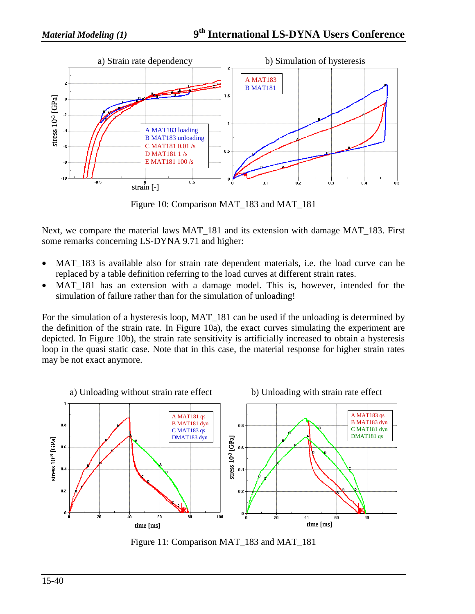

Figure 10: Comparison MAT\_183 and MAT\_181

Next, we compare the material laws MAT\_181 and its extension with damage MAT\_183. First some remarks concerning LS-DYNA 9.71 and higher:

- MAT 183 is available also for strain rate dependent materials, i.e. the load curve can be replaced by a table definition referring to the load curves at different strain rates.
- MAT<sub>181</sub> has an extension with a damage model. This is, however, intended for the simulation of failure rather than for the simulation of unloading!

For the simulation of a hysteresis loop, MAT 181 can be used if the unloading is determined by the definition of the strain rate. In Figure 10a), the exact curves simulating the experiment are depicted. In Figure 10b), the strain rate sensitivity is artificially increased to obtain a hysteresis loop in the quasi static case. Note that in this case, the material response for higher strain rates may be not exact anymore.



Figure 11: Comparison MAT\_183 and MAT\_181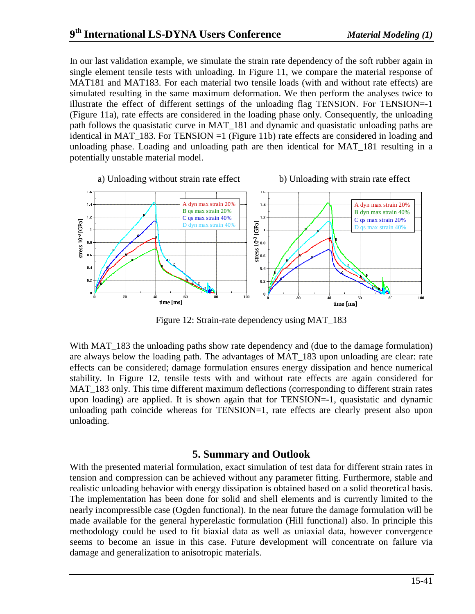In our last validation example, we simulate the strain rate dependency of the soft rubber again in single element tensile tests with unloading. In Figure 11, we compare the material response of MAT181 and MAT183. For each material two tensile loads (with and without rate effects) are simulated resulting in the same maximum deformation. We then perform the analyses twice to illustrate the effect of different settings of the unloading flag TENSION. For TENSION=-1 (Figure 11a), rate effects are considered in the loading phase only. Consequently, the unloading path follows the quasistatic curve in MAT\_181 and dynamic and quasistatic unloading paths are identical in MAT\_183. For TENSION =1 (Figure 11b) rate effects are considered in loading and unloading phase. Loading and unloading path are then identical for MAT\_181 resulting in a potentially unstable material model.



Figure 12: Strain-rate dependency using MAT\_183

With MAT 183 the unloading paths show rate dependency and (due to the damage formulation) are always below the loading path. The advantages of MAT\_183 upon unloading are clear: rate effects can be considered; damage formulation ensures energy dissipation and hence numerical stability. In Figure 12, tensile tests with and without rate effects are again considered for MAT\_183 only. This time different maximum deflections (corresponding to different strain rates upon loading) are applied. It is shown again that for TENSION=-1, quasistatic and dynamic unloading path coincide whereas for TENSION=1, rate effects are clearly present also upon unloading.

## **5. Summary and Outlook**

With the presented material formulation, exact simulation of test data for different strain rates in tension and compression can be achieved without any parameter fitting. Furthermore, stable and realistic unloading behavior with energy dissipation is obtained based on a solid theoretical basis. The implementation has been done for solid and shell elements and is currently limited to the nearly incompressible case (Ogden functional). In the near future the damage formulation will be made available for the general hyperelastic formulation (Hill functional) also. In principle this methodology could be used to fit biaxial data as well as uniaxial data, however convergence seems to become an issue in this case. Future development will concentrate on failure via damage and generalization to anisotropic materials.